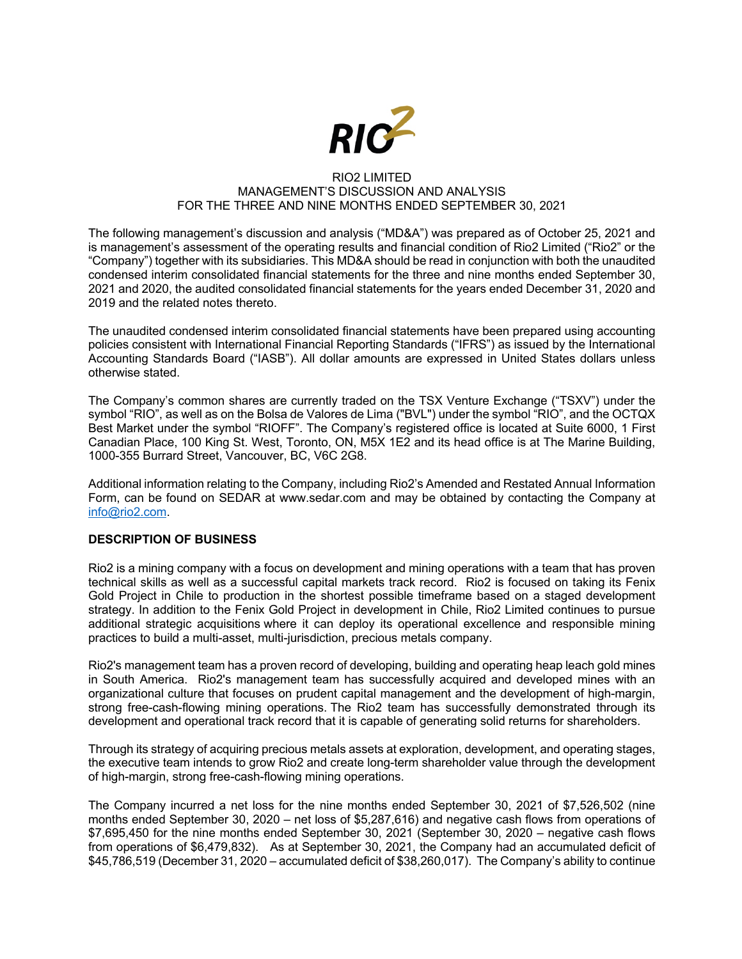

#### RIO2 LIMITED MANAGEMENT'S DISCUSSION AND ANALYSIS FOR THE THREE AND NINE MONTHS ENDED SEPTEMBER 30, 2021

The following management's discussion and analysis ("MD&A") was prepared as of October 25, 2021 and is management's assessment of the operating results and financial condition of Rio2 Limited ("Rio2" or the "Company") together with its subsidiaries. This MD&A should be read in conjunction with both the unaudited condensed interim consolidated financial statements for the three and nine months ended September 30, 2021 and 2020, the audited consolidated financial statements for the years ended December 31, 2020 and 2019 and the related notes thereto.

The unaudited condensed interim consolidated financial statements have been prepared using accounting policies consistent with International Financial Reporting Standards ("IFRS") as issued by the International Accounting Standards Board ("IASB"). All dollar amounts are expressed in United States dollars unless otherwise stated.

The Company's common shares are currently traded on the TSX Venture Exchange ("TSXV") under the symbol "RIO", as well as on the Bolsa de Valores de Lima ("BVL") under the symbol "RIO", and the OCTQX Best Market under the symbol "RIOFF". The Company's registered office is located at Suite 6000, 1 First Canadian Place, 100 King St. West, Toronto, ON, M5X 1E2 and its head office is at The Marine Building, 1000-355 Burrard Street, Vancouver, BC, V6C 2G8.

Additional information relating to the Company, including Rio2's Amended and Restated Annual Information Form, can be found on SEDAR at www.sedar.com and may be obtained by contacting the Company at info@rio2.com.

## **DESCRIPTION OF BUSINESS**

Rio2 is a mining company with a focus on development and mining operations with a team that has proven technical skills as well as a successful capital markets track record. Rio2 is focused on taking its Fenix Gold Project in Chile to production in the shortest possible timeframe based on a staged development strategy. In addition to the Fenix Gold Project in development in Chile, Rio2 Limited continues to pursue additional strategic acquisitions where it can deploy its operational excellence and responsible mining practices to build a multi-asset, multi-jurisdiction, precious metals company.

Rio2's management team has a proven record of developing, building and operating heap leach gold mines in South America. Rio2's management team has successfully acquired and developed mines with an organizational culture that focuses on prudent capital management and the development of high-margin, strong free-cash-flowing mining operations. The Rio2 team has successfully demonstrated through its development and operational track record that it is capable of generating solid returns for shareholders.

Through its strategy of acquiring precious metals assets at exploration, development, and operating stages, the executive team intends to grow Rio2 and create long-term shareholder value through the development of high-margin, strong free-cash-flowing mining operations.

The Company incurred a net loss for the nine months ended September 30, 2021 of \$7,526,502 (nine months ended September 30, 2020 – net loss of \$5,287,616) and negative cash flows from operations of \$7,695,450 for the nine months ended September 30, 2021 (September 30, 2020 – negative cash flows from operations of \$6,479,832). As at September 30, 2021, the Company had an accumulated deficit of \$45,786,519 (December 31, 2020 – accumulated deficit of \$38,260,017). The Company's ability to continue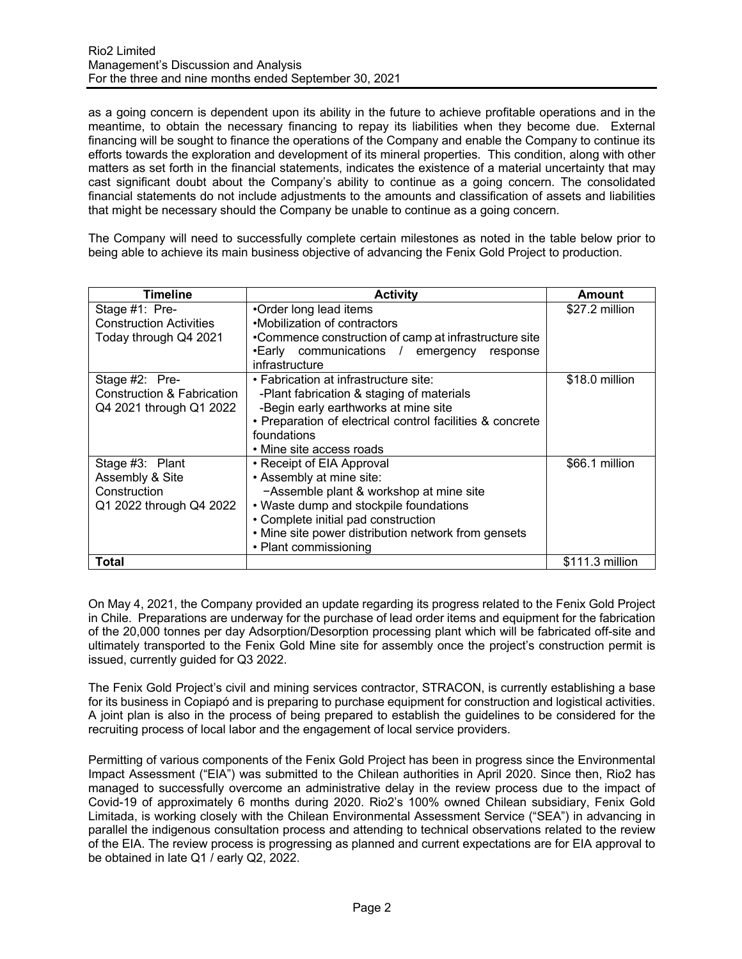as a going concern is dependent upon its ability in the future to achieve profitable operations and in the meantime, to obtain the necessary financing to repay its liabilities when they become due. External financing will be sought to finance the operations of the Company and enable the Company to continue its efforts towards the exploration and development of its mineral properties. This condition, along with other matters as set forth in the financial statements, indicates the existence of a material uncertainty that may cast significant doubt about the Company's ability to continue as a going concern. The consolidated financial statements do not include adjustments to the amounts and classification of assets and liabilities that might be necessary should the Company be unable to continue as a going concern.

The Company will need to successfully complete certain milestones as noted in the table below prior to being able to achieve its main business objective of advancing the Fenix Gold Project to production.

| Timeline                       | <b>Activity</b>                                           | Amount          |
|--------------------------------|-----------------------------------------------------------|-----------------|
| Stage #1: Pre-                 | •Order long lead items                                    | \$27.2 million  |
| <b>Construction Activities</b> | •Mobilization of contractors                              |                 |
| Today through Q4 2021          | •Commence construction of camp at infrastructure site     |                 |
|                                | •Early communications / emergency<br>response             |                 |
|                                | infrastructure                                            |                 |
| Stage #2: Pre-                 | • Fabrication at infrastructure site:                     | \$18.0 million  |
| Construction & Fabrication     | -Plant fabrication & staging of materials                 |                 |
| Q4 2021 through Q1 2022        | -Begin early earthworks at mine site                      |                 |
|                                | • Preparation of electrical control facilities & concrete |                 |
|                                | foundations                                               |                 |
|                                | • Mine site access roads                                  |                 |
| Stage #3: Plant                | • Receipt of EIA Approval                                 | \$66.1 million  |
| Assembly & Site                | • Assembly at mine site:                                  |                 |
| Construction                   | -Assemble plant & workshop at mine site                   |                 |
| Q1 2022 through Q4 2022        | • Waste dump and stockpile foundations                    |                 |
|                                | • Complete initial pad construction                       |                 |
|                                | • Mine site power distribution network from gensets       |                 |
|                                | • Plant commissioning                                     |                 |
| Total                          |                                                           | \$111.3 million |

On May 4, 2021, the Company provided an update regarding its progress related to the Fenix Gold Project in Chile. Preparations are underway for the purchase of lead order items and equipment for the fabrication of the 20,000 tonnes per day Adsorption/Desorption processing plant which will be fabricated off-site and ultimately transported to the Fenix Gold Mine site for assembly once the project's construction permit is issued, currently guided for Q3 2022.

The Fenix Gold Project's civil and mining services contractor, STRACON, is currently establishing a base for its business in Copiapó and is preparing to purchase equipment for construction and logistical activities. A joint plan is also in the process of being prepared to establish the guidelines to be considered for the recruiting process of local labor and the engagement of local service providers.

Permitting of various components of the Fenix Gold Project has been in progress since the Environmental Impact Assessment ("EIA") was submitted to the Chilean authorities in April 2020. Since then, Rio2 has managed to successfully overcome an administrative delay in the review process due to the impact of Covid-19 of approximately 6 months during 2020. Rio2's 100% owned Chilean subsidiary, Fenix Gold Limitada, is working closely with the Chilean Environmental Assessment Service ("SEA") in advancing in parallel the indigenous consultation process and attending to technical observations related to the review of the EIA. The review process is progressing as planned and current expectations are for EIA approval to be obtained in late Q1 / early Q2, 2022.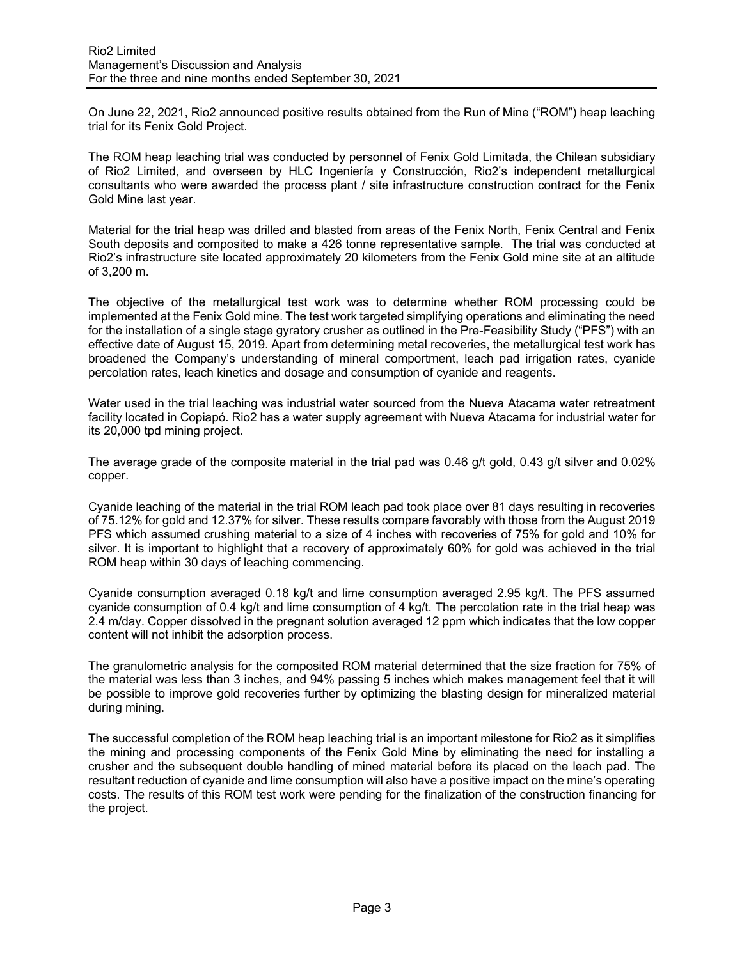On June 22, 2021, Rio2 announced positive results obtained from the Run of Mine ("ROM") heap leaching trial for its Fenix Gold Project.

The ROM heap leaching trial was conducted by personnel of Fenix Gold Limitada, the Chilean subsidiary of Rio2 Limited, and overseen by HLC Ingeniería y Construcción, Rio2's independent metallurgical consultants who were awarded the process plant / site infrastructure construction contract for the Fenix Gold Mine last year.

Material for the trial heap was drilled and blasted from areas of the Fenix North, Fenix Central and Fenix South deposits and composited to make a 426 tonne representative sample. The trial was conducted at Rio2's infrastructure site located approximately 20 kilometers from the Fenix Gold mine site at an altitude of 3,200 m.

The objective of the metallurgical test work was to determine whether ROM processing could be implemented at the Fenix Gold mine. The test work targeted simplifying operations and eliminating the need for the installation of a single stage gyratory crusher as outlined in the Pre-Feasibility Study ("PFS") with an effective date of August 15, 2019. Apart from determining metal recoveries, the metallurgical test work has broadened the Company's understanding of mineral comportment, leach pad irrigation rates, cyanide percolation rates, leach kinetics and dosage and consumption of cyanide and reagents.

Water used in the trial leaching was industrial water sourced from the Nueva Atacama water retreatment facility located in Copiapó. Rio2 has a water supply agreement with Nueva Atacama for industrial water for its 20,000 tpd mining project.

The average grade of the composite material in the trial pad was 0.46 g/t gold, 0.43 g/t silver and 0.02% copper.

Cyanide leaching of the material in the trial ROM leach pad took place over 81 days resulting in recoveries of 75.12% for gold and 12.37% for silver. These results compare favorably with those from the August 2019 PFS which assumed crushing material to a size of 4 inches with recoveries of 75% for gold and 10% for silver. It is important to highlight that a recovery of approximately 60% for gold was achieved in the trial ROM heap within 30 days of leaching commencing.

Cyanide consumption averaged 0.18 kg/t and lime consumption averaged 2.95 kg/t. The PFS assumed cyanide consumption of 0.4 kg/t and lime consumption of 4 kg/t. The percolation rate in the trial heap was 2.4 m/day. Copper dissolved in the pregnant solution averaged 12 ppm which indicates that the low copper content will not inhibit the adsorption process.

The granulometric analysis for the composited ROM material determined that the size fraction for 75% of the material was less than 3 inches, and 94% passing 5 inches which makes management feel that it will be possible to improve gold recoveries further by optimizing the blasting design for mineralized material during mining.

The successful completion of the ROM heap leaching trial is an important milestone for Rio2 as it simplifies the mining and processing components of the Fenix Gold Mine by eliminating the need for installing a crusher and the subsequent double handling of mined material before its placed on the leach pad. The resultant reduction of cyanide and lime consumption will also have a positive impact on the mine's operating costs. The results of this ROM test work were pending for the finalization of the construction financing for the project.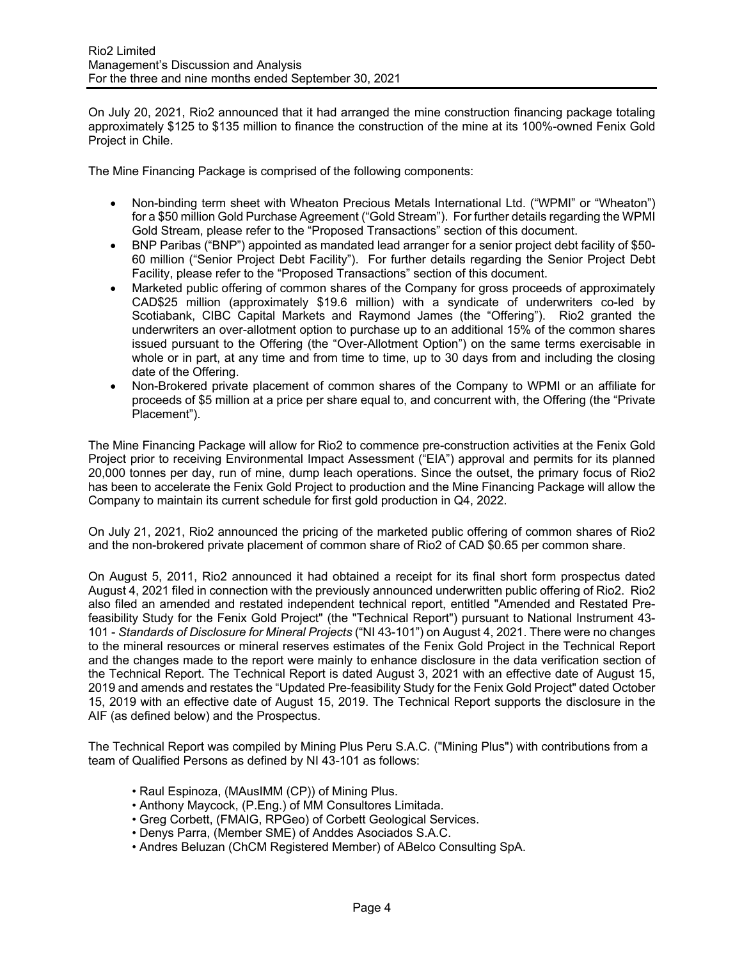On July 20, 2021, Rio2 announced that it had arranged the mine construction financing package totaling approximately \$125 to \$135 million to finance the construction of the mine at its 100%-owned Fenix Gold Project in Chile.

The Mine Financing Package is comprised of the following components:

- Non-binding term sheet with Wheaton Precious Metals International Ltd. ("WPMI" or "Wheaton") for a \$50 million Gold Purchase Agreement ("Gold Stream"). For further details regarding the WPMI Gold Stream, please refer to the "Proposed Transactions" section of this document.
- BNP Paribas ("BNP") appointed as mandated lead arranger for a senior project debt facility of \$50- 60 million ("Senior Project Debt Facility"). For further details regarding the Senior Project Debt Facility, please refer to the "Proposed Transactions" section of this document.
- Marketed public offering of common shares of the Company for gross proceeds of approximately CAD\$25 million (approximately \$19.6 million) with a syndicate of underwriters co-led by Scotiabank, CIBC Capital Markets and Raymond James (the "Offering"). Rio2 granted the underwriters an over-allotment option to purchase up to an additional 15% of the common shares issued pursuant to the Offering (the "Over-Allotment Option") on the same terms exercisable in whole or in part, at any time and from time to time, up to 30 days from and including the closing date of the Offering.
- Non-Brokered private placement of common shares of the Company to WPMI or an affiliate for proceeds of \$5 million at a price per share equal to, and concurrent with, the Offering (the "Private Placement").

The Mine Financing Package will allow for Rio2 to commence pre-construction activities at the Fenix Gold Project prior to receiving Environmental Impact Assessment ("EIA") approval and permits for its planned 20,000 tonnes per day, run of mine, dump leach operations. Since the outset, the primary focus of Rio2 has been to accelerate the Fenix Gold Project to production and the Mine Financing Package will allow the Company to maintain its current schedule for first gold production in Q4, 2022.

On July 21, 2021, Rio2 announced the pricing of the marketed public offering of common shares of Rio2 and the non-brokered private placement of common share of Rio2 of CAD \$0.65 per common share.

On August 5, 2011, Rio2 announced it had obtained a receipt for its final short form prospectus dated August 4, 2021 filed in connection with the previously announced underwritten public offering of Rio2. Rio2 also filed an amended and restated independent technical report, entitled "Amended and Restated Prefeasibility Study for the Fenix Gold Project" (the "Technical Report") pursuant to National Instrument 43- 101 - *Standards of Disclosure for Mineral Projects* ("NI 43-101") on August 4, 2021. There were no changes to the mineral resources or mineral reserves estimates of the Fenix Gold Project in the Technical Report and the changes made to the report were mainly to enhance disclosure in the data verification section of the Technical Report. The Technical Report is dated August 3, 2021 with an effective date of August 15, 2019 and amends and restates the "Updated Pre-feasibility Study for the Fenix Gold Project" dated October 15, 2019 with an effective date of August 15, 2019. The Technical Report supports the disclosure in the AIF (as defined below) and the Prospectus.

The Technical Report was compiled by Mining Plus Peru S.A.C. ("Mining Plus") with contributions from a team of Qualified Persons as defined by NI 43-101 as follows:

- Raul Espinoza, (MAusIMM (CP)) of Mining Plus.
- Anthony Maycock, (P.Eng.) of MM Consultores Limitada.
- Greg Corbett, (FMAIG, RPGeo) of Corbett Geological Services.
- Denys Parra, (Member SME) of Anddes Asociados S.A.C.
- Andres Beluzan (ChCM Registered Member) of ABelco Consulting SpA.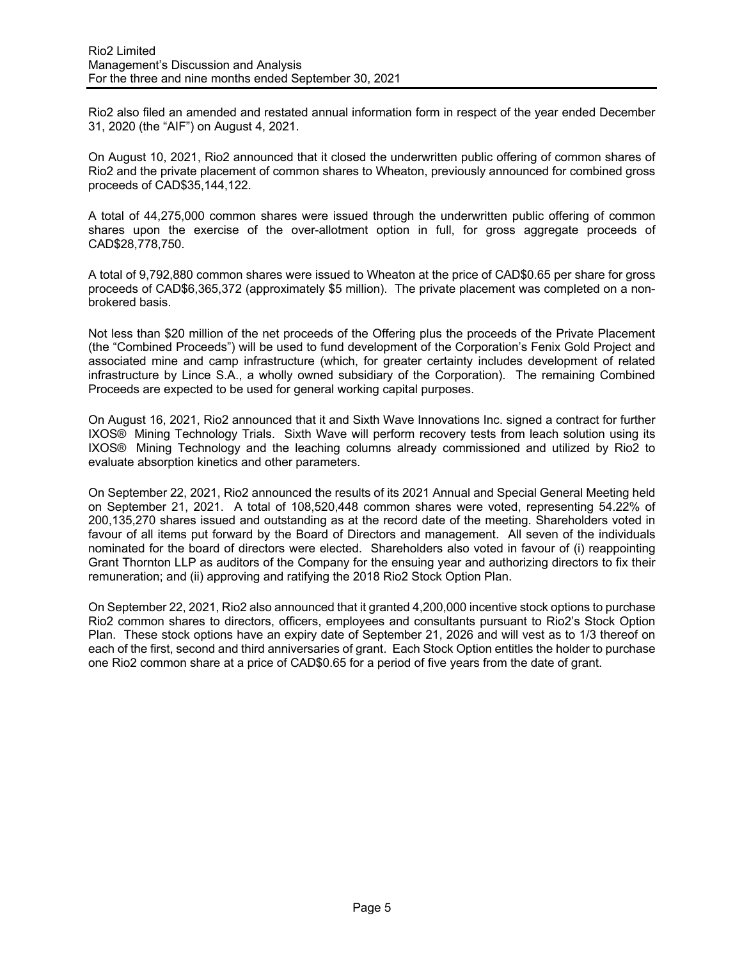Rio2 also filed an amended and restated annual information form in respect of the year ended December 31, 2020 (the "AIF") on August 4, 2021.

On August 10, 2021, Rio2 announced that it closed the underwritten public offering of common shares of Rio2 and the private placement of common shares to Wheaton, previously announced for combined gross proceeds of CAD\$35,144,122.

A total of 44,275,000 common shares were issued through the underwritten public offering of common shares upon the exercise of the over-allotment option in full, for gross aggregate proceeds of CAD\$28,778,750.

A total of 9,792,880 common shares were issued to Wheaton at the price of CAD\$0.65 per share for gross proceeds of CAD\$6,365,372 (approximately \$5 million). The private placement was completed on a nonbrokered basis.

Not less than \$20 million of the net proceeds of the Offering plus the proceeds of the Private Placement (the "Combined Proceeds") will be used to fund development of the Corporation's Fenix Gold Project and associated mine and camp infrastructure (which, for greater certainty includes development of related infrastructure by Lince S.A., a wholly owned subsidiary of the Corporation). The remaining Combined Proceeds are expected to be used for general working capital purposes.

On August 16, 2021, Rio2 announced that it and Sixth Wave Innovations Inc. signed a contract for further IXOS® Mining Technology Trials. Sixth Wave will perform recovery tests from leach solution using its IXOS® Mining Technology and the leaching columns already commissioned and utilized by Rio2 to evaluate absorption kinetics and other parameters.

On September 22, 2021, Rio2 announced the results of its 2021 Annual and Special General Meeting held on September 21, 2021. A total of 108,520,448 common shares were voted, representing 54.22% of 200,135,270 shares issued and outstanding as at the record date of the meeting. Shareholders voted in favour of all items put forward by the Board of Directors and management. All seven of the individuals nominated for the board of directors were elected. Shareholders also voted in favour of (i) reappointing Grant Thornton LLP as auditors of the Company for the ensuing year and authorizing directors to fix their remuneration; and (ii) approving and ratifying the 2018 Rio2 Stock Option Plan.

On September 22, 2021, Rio2 also announced that it granted 4,200,000 incentive stock options to purchase Rio2 common shares to directors, officers, employees and consultants pursuant to Rio2's Stock Option Plan. These stock options have an expiry date of September 21, 2026 and will vest as to 1/3 thereof on each of the first, second and third anniversaries of grant. Each Stock Option entitles the holder to purchase one Rio2 common share at a price of CAD\$0.65 for a period of five years from the date of grant.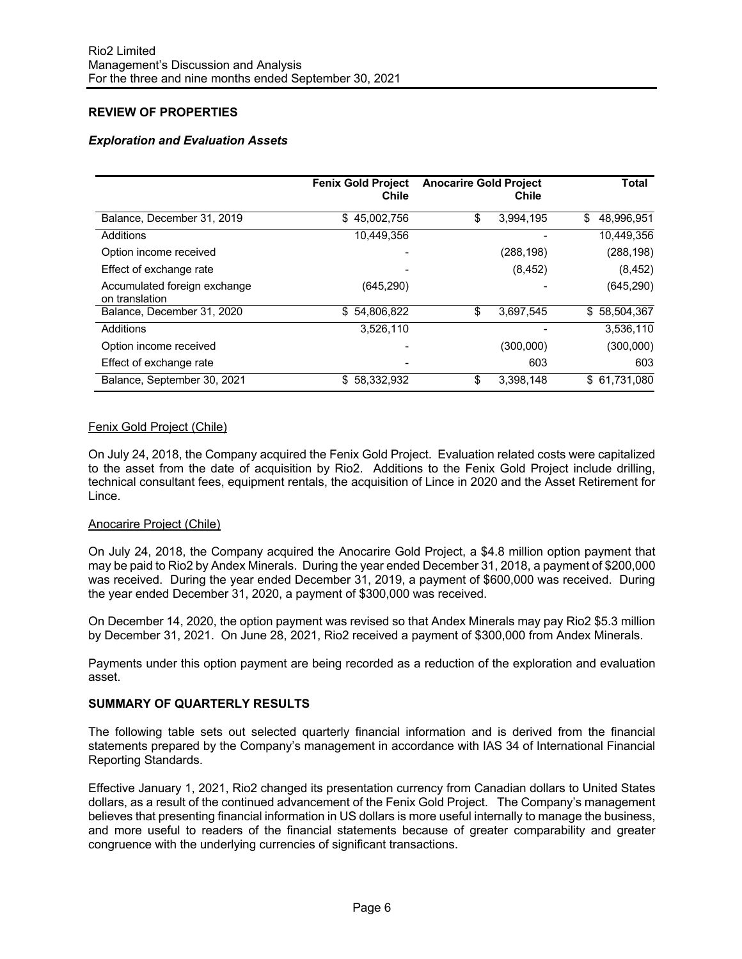# **REVIEW OF PROPERTIES**

### *Exploration and Evaluation Assets*

|                                                | <b>Fenix Gold Project</b><br>Chile | <b>Anocarire Gold Project</b> | Chile      | Total            |
|------------------------------------------------|------------------------------------|-------------------------------|------------|------------------|
| Balance, December 31, 2019                     | \$45,002,756                       | \$                            | 3,994,195  | 48.996.951<br>\$ |
| Additions                                      | 10,449,356                         |                               |            | 10,449,356       |
| Option income received                         |                                    |                               | (288, 198) | (288, 198)       |
| Effect of exchange rate                        |                                    |                               | (8, 452)   | (8, 452)         |
| Accumulated foreign exchange<br>on translation | (645, 290)                         |                               |            | (645, 290)       |
| Balance, December 31, 2020                     | 54,806,822<br>S.                   | \$                            | 3,697,545  | \$58,504,367     |
| Additions                                      | 3,526,110                          |                               |            | 3,536,110        |
| Option income received                         |                                    |                               | (300,000)  | (300,000)        |
| Effect of exchange rate                        |                                    |                               | 603        | 603              |
| Balance, September 30, 2021                    | \$<br>58,332,932                   | \$                            | 3,398,148  | \$ 61,731,080    |

### Fenix Gold Project (Chile)

On July 24, 2018, the Company acquired the Fenix Gold Project. Evaluation related costs were capitalized to the asset from the date of acquisition by Rio2. Additions to the Fenix Gold Project include drilling, technical consultant fees, equipment rentals, the acquisition of Lince in 2020 and the Asset Retirement for Lince.

#### Anocarire Project (Chile)

On July 24, 2018, the Company acquired the Anocarire Gold Project, a \$4.8 million option payment that may be paid to Rio2 by Andex Minerals. During the year ended December 31, 2018, a payment of \$200,000 was received. During the year ended December 31, 2019, a payment of \$600,000 was received. During the year ended December 31, 2020, a payment of \$300,000 was received.

On December 14, 2020, the option payment was revised so that Andex Minerals may pay Rio2 \$5.3 million by December 31, 2021. On June 28, 2021, Rio2 received a payment of \$300,000 from Andex Minerals.

Payments under this option payment are being recorded as a reduction of the exploration and evaluation asset.

#### **SUMMARY OF QUARTERLY RESULTS**

The following table sets out selected quarterly financial information and is derived from the financial statements prepared by the Company's management in accordance with IAS 34 of International Financial Reporting Standards.

Effective January 1, 2021, Rio2 changed its presentation currency from Canadian dollars to United States dollars, as a result of the continued advancement of the Fenix Gold Project. The Company's management believes that presenting financial information in US dollars is more useful internally to manage the business, and more useful to readers of the financial statements because of greater comparability and greater congruence with the underlying currencies of significant transactions.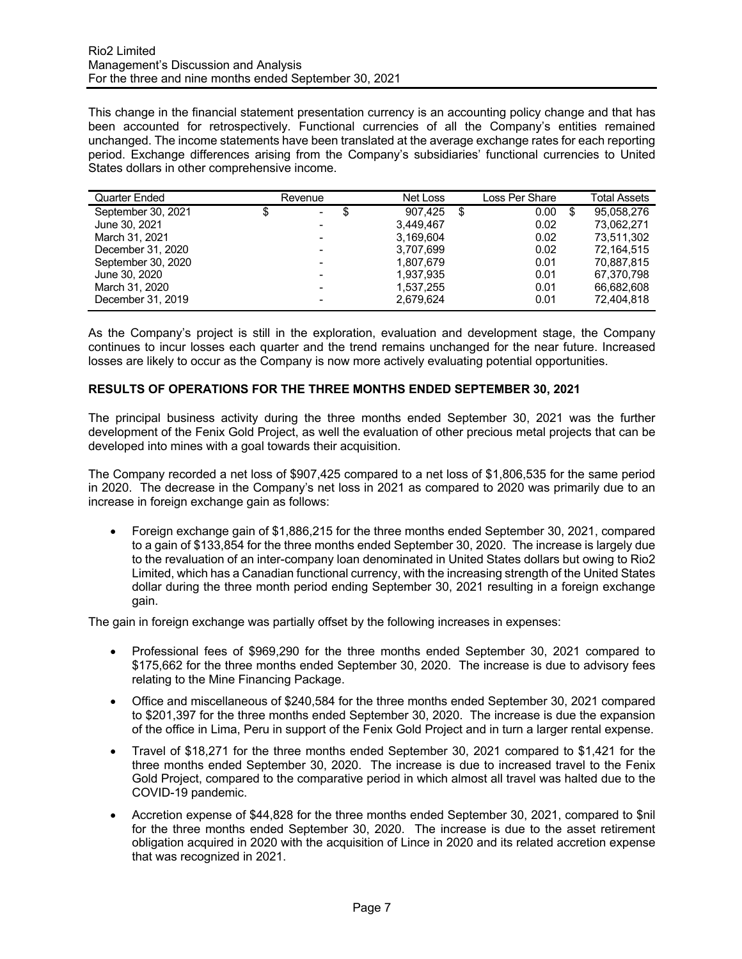This change in the financial statement presentation currency is an accounting policy change and that has been accounted for retrospectively. Functional currencies of all the Company's entities remained unchanged. The income statements have been translated at the average exchange rates for each reporting period. Exchange differences arising from the Company's subsidiaries' functional currencies to United States dollars in other comprehensive income.

| Quarter Ended      |   | Revenue                  |   | Net Loss  | Loss Per Share | Total Assets     |
|--------------------|---|--------------------------|---|-----------|----------------|------------------|
| September 30, 2021 | S | $\sim$                   | S | 907.425   | 0.00           | \$<br>95.058.276 |
| June 30, 2021      |   |                          |   | 3.449.467 | 0.02           | 73.062.271       |
| March 31, 2021     |   |                          |   | 3.169.604 | 0.02           | 73.511.302       |
| December 31, 2020  |   |                          |   | 3.707.699 | 0.02           | 72.164.515       |
| September 30, 2020 |   |                          |   | 1.807.679 | 0.01           | 70.887.815       |
| June 30, 2020      |   |                          |   | 1.937.935 | 0.01           | 67.370.798       |
| March 31, 2020     |   | $\overline{\phantom{0}}$ |   | 1,537,255 | 0.01           | 66.682.608       |
| December 31, 2019  |   |                          |   | 2.679.624 | 0.01           | 72,404,818       |

As the Company's project is still in the exploration, evaluation and development stage, the Company continues to incur losses each quarter and the trend remains unchanged for the near future. Increased losses are likely to occur as the Company is now more actively evaluating potential opportunities.

### **RESULTS OF OPERATIONS FOR THE THREE MONTHS ENDED SEPTEMBER 30, 2021**

The principal business activity during the three months ended September 30, 2021 was the further development of the Fenix Gold Project, as well the evaluation of other precious metal projects that can be developed into mines with a goal towards their acquisition.

The Company recorded a net loss of \$907,425 compared to a net loss of \$1,806,535 for the same period in 2020. The decrease in the Company's net loss in 2021 as compared to 2020 was primarily due to an increase in foreign exchange gain as follows:

• Foreign exchange gain of \$1,886,215 for the three months ended September 30, 2021, compared to a gain of \$133,854 for the three months ended September 30, 2020. The increase is largely due to the revaluation of an inter-company loan denominated in United States dollars but owing to Rio2 Limited, which has a Canadian functional currency, with the increasing strength of the United States dollar during the three month period ending September 30, 2021 resulting in a foreign exchange gain.

The gain in foreign exchange was partially offset by the following increases in expenses:

- Professional fees of \$969,290 for the three months ended September 30, 2021 compared to \$175,662 for the three months ended September 30, 2020. The increase is due to advisory fees relating to the Mine Financing Package.
- Office and miscellaneous of \$240,584 for the three months ended September 30, 2021 compared to \$201,397 for the three months ended September 30, 2020. The increase is due the expansion of the office in Lima, Peru in support of the Fenix Gold Project and in turn a larger rental expense.
- Travel of \$18,271 for the three months ended September 30, 2021 compared to \$1,421 for the three months ended September 30, 2020. The increase is due to increased travel to the Fenix Gold Project, compared to the comparative period in which almost all travel was halted due to the COVID-19 pandemic.
- Accretion expense of \$44,828 for the three months ended September 30, 2021, compared to \$nil for the three months ended September 30, 2020. The increase is due to the asset retirement obligation acquired in 2020 with the acquisition of Lince in 2020 and its related accretion expense that was recognized in 2021.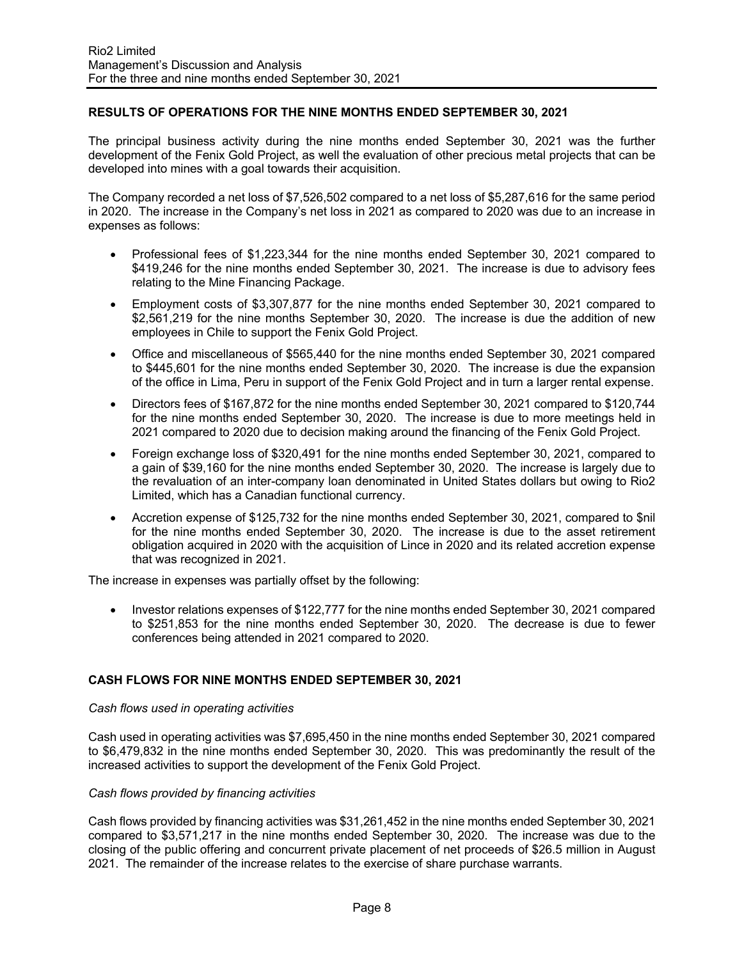### **RESULTS OF OPERATIONS FOR THE NINE MONTHS ENDED SEPTEMBER 30, 2021**

The principal business activity during the nine months ended September 30, 2021 was the further development of the Fenix Gold Project, as well the evaluation of other precious metal projects that can be developed into mines with a goal towards their acquisition.

The Company recorded a net loss of \$7,526,502 compared to a net loss of \$5,287,616 for the same period in 2020. The increase in the Company's net loss in 2021 as compared to 2020 was due to an increase in expenses as follows:

- Professional fees of \$1,223,344 for the nine months ended September 30, 2021 compared to \$419,246 for the nine months ended September 30, 2021. The increase is due to advisory fees relating to the Mine Financing Package.
- Employment costs of \$3,307,877 for the nine months ended September 30, 2021 compared to \$2,561,219 for the nine months September 30, 2020. The increase is due the addition of new employees in Chile to support the Fenix Gold Project.
- Office and miscellaneous of \$565,440 for the nine months ended September 30, 2021 compared to \$445,601 for the nine months ended September 30, 2020. The increase is due the expansion of the office in Lima, Peru in support of the Fenix Gold Project and in turn a larger rental expense.
- Directors fees of \$167,872 for the nine months ended September 30, 2021 compared to \$120,744 for the nine months ended September 30, 2020. The increase is due to more meetings held in 2021 compared to 2020 due to decision making around the financing of the Fenix Gold Project.
- Foreign exchange loss of \$320,491 for the nine months ended September 30, 2021, compared to a gain of \$39,160 for the nine months ended September 30, 2020. The increase is largely due to the revaluation of an inter-company loan denominated in United States dollars but owing to Rio2 Limited, which has a Canadian functional currency.
- Accretion expense of \$125,732 for the nine months ended September 30, 2021, compared to \$nil for the nine months ended September 30, 2020. The increase is due to the asset retirement obligation acquired in 2020 with the acquisition of Lince in 2020 and its related accretion expense that was recognized in 2021.

The increase in expenses was partially offset by the following:

• Investor relations expenses of \$122,777 for the nine months ended September 30, 2021 compared to \$251,853 for the nine months ended September 30, 2020. The decrease is due to fewer conferences being attended in 2021 compared to 2020.

#### **CASH FLOWS FOR NINE MONTHS ENDED SEPTEMBER 30, 2021**

#### *Cash flows used in operating activities*

Cash used in operating activities was \$7,695,450 in the nine months ended September 30, 2021 compared to \$6,479,832 in the nine months ended September 30, 2020. This was predominantly the result of the increased activities to support the development of the Fenix Gold Project.

#### *Cash flows provided by financing activities*

Cash flows provided by financing activities was \$31,261,452 in the nine months ended September 30, 2021 compared to \$3,571,217 in the nine months ended September 30, 2020. The increase was due to the closing of the public offering and concurrent private placement of net proceeds of \$26.5 million in August 2021. The remainder of the increase relates to the exercise of share purchase warrants.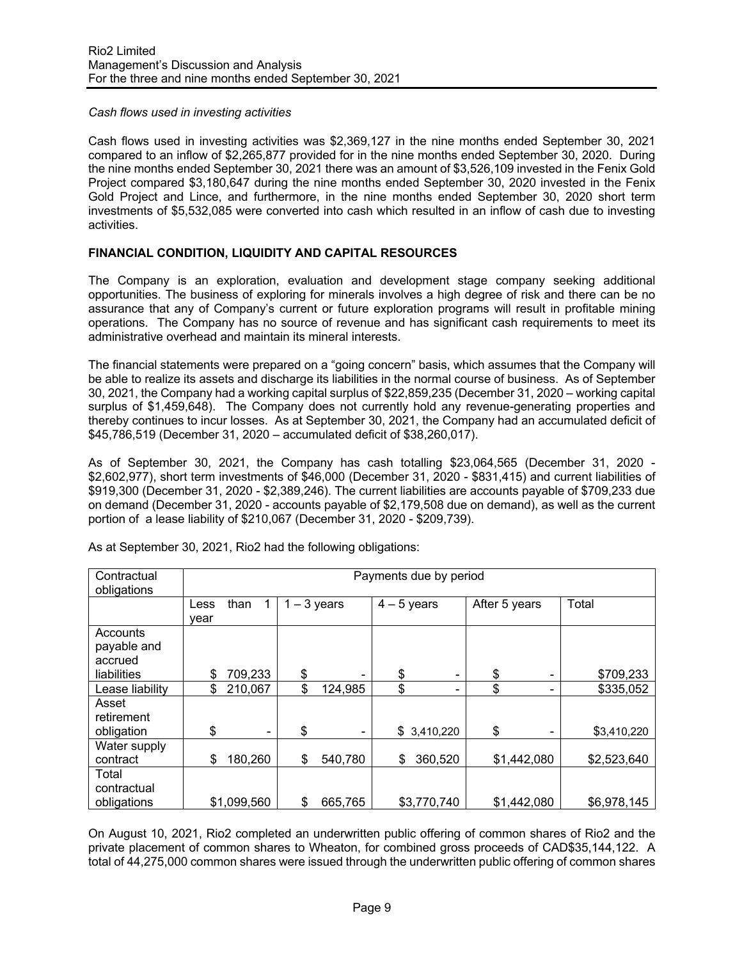### *Cash flows used in investing activities*

Cash flows used in investing activities was \$2,369,127 in the nine months ended September 30, 2021 compared to an inflow of \$2,265,877 provided for in the nine months ended September 30, 2020. During the nine months ended September 30, 2021 there was an amount of \$3,526,109 invested in the Fenix Gold Project compared \$3,180,647 during the nine months ended September 30, 2020 invested in the Fenix Gold Project and Lince, and furthermore, in the nine months ended September 30, 2020 short term investments of \$5,532,085 were converted into cash which resulted in an inflow of cash due to investing activities.

## **FINANCIAL CONDITION, LIQUIDITY AND CAPITAL RESOURCES**

The Company is an exploration, evaluation and development stage company seeking additional opportunities. The business of exploring for minerals involves a high degree of risk and there can be no assurance that any of Company's current or future exploration programs will result in profitable mining operations. The Company has no source of revenue and has significant cash requirements to meet its administrative overhead and maintain its mineral interests.

The financial statements were prepared on a "going concern" basis, which assumes that the Company will be able to realize its assets and discharge its liabilities in the normal course of business. As of September 30, 2021, the Company had a working capital surplus of \$22,859,235 (December 31, 2020 – working capital surplus of \$1,459,648). The Company does not currently hold any revenue-generating properties and thereby continues to incur losses. As at September 30, 2021, the Company had an accumulated deficit of \$45,786,519 (December 31, 2020 – accumulated deficit of \$38,260,017).

As of September 30, 2021, the Company has cash totalling \$23,064,565 (December 31, 2020 - \$2,602,977), short term investments of \$46,000 (December 31, 2020 - \$831,415) and current liabilities of \$919,300 (December 31, 2020 - \$2,389,246). The current liabilities are accounts payable of \$709,233 due on demand (December 31, 2020 - accounts payable of \$2,179,508 due on demand), as well as the current portion of a lease liability of \$210,067 (December 31, 2020 - \$209,739).

| Contractual<br>obligations                        | Payments due by period |             |               |                 |               |             |               |             |             |
|---------------------------------------------------|------------------------|-------------|---------------|-----------------|---------------|-------------|---------------|-------------|-------------|
|                                                   | Less<br>vear           | than        | $1 - 3$ years |                 | $4 - 5$ years |             | After 5 years |             | Total       |
| Accounts<br>payable and<br>accrued<br>liabilities | \$                     | 709,233     | \$            | -               | \$            | ٠           | \$            |             | \$709,233   |
| Lease liability                                   | \$                     | 210,067     | \$            | 124,985         | \$            |             | \$            |             | \$335,052   |
| Asset<br>retirement<br>obligation                 | \$                     |             | \$            | $\qquad \qquad$ |               | \$3,410,220 | \$            |             | \$3,410,220 |
| Water supply<br>contract                          | \$                     | 180,260     | \$            | 540,780         | \$            | 360,520     |               | \$1,442,080 | \$2,523,640 |
| Total<br>contractual<br>obligations               |                        | \$1,099,560 | \$            | 665,765         |               | \$3,770,740 |               | \$1,442,080 | \$6,978,145 |

As at September 30, 2021, Rio2 had the following obligations:

On August 10, 2021, Rio2 completed an underwritten public offering of common shares of Rio2 and the private placement of common shares to Wheaton, for combined gross proceeds of CAD\$35,144,122. A total of 44,275,000 common shares were issued through the underwritten public offering of common shares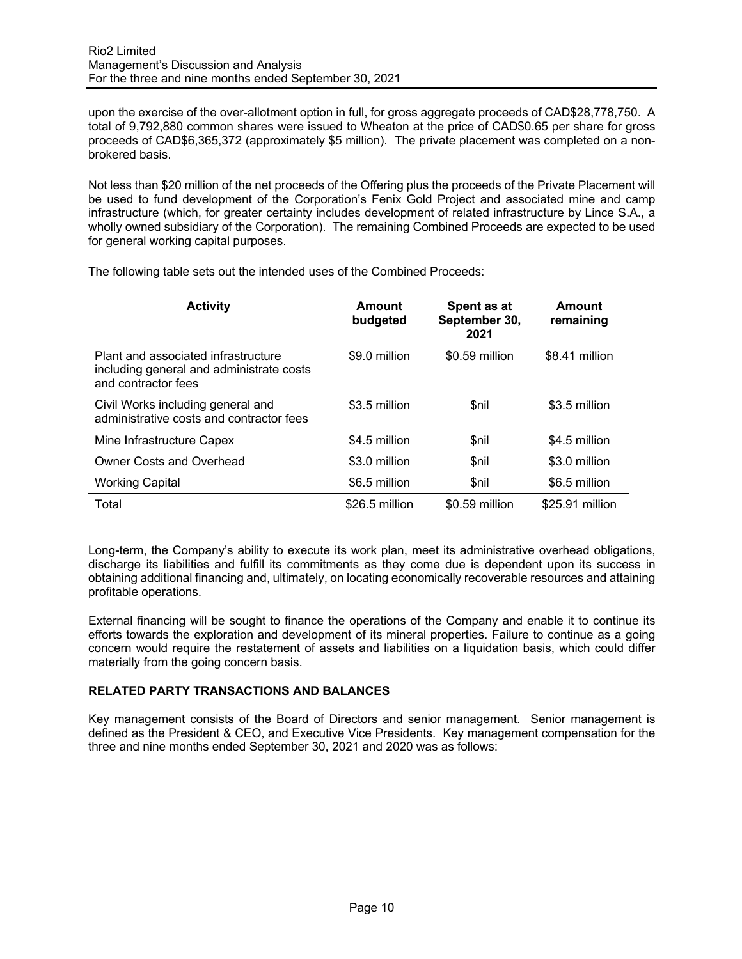upon the exercise of the over-allotment option in full, for gross aggregate proceeds of CAD\$28,778,750. A total of 9,792,880 common shares were issued to Wheaton at the price of CAD\$0.65 per share for gross proceeds of CAD\$6,365,372 (approximately \$5 million). The private placement was completed on a nonbrokered basis.

Not less than \$20 million of the net proceeds of the Offering plus the proceeds of the Private Placement will be used to fund development of the Corporation's Fenix Gold Project and associated mine and camp infrastructure (which, for greater certainty includes development of related infrastructure by Lince S.A., a wholly owned subsidiary of the Corporation). The remaining Combined Proceeds are expected to be used for general working capital purposes.

| <b>Activity</b>                                                                                        | Amount<br>budgeted | Spent as at<br>September 30,<br>2021 | Amount<br>remaining |
|--------------------------------------------------------------------------------------------------------|--------------------|--------------------------------------|---------------------|
| Plant and associated infrastructure<br>including general and administrate costs<br>and contractor fees | \$9.0 million      | \$0.59 million                       | \$8.41 million      |
| Civil Works including general and<br>administrative costs and contractor fees                          | \$3.5 million      | <b>Snil</b>                          | \$3.5 million       |
| Mine Infrastructure Capex                                                                              | \$4.5 million      | \$nil                                | \$4.5 million       |
| Owner Costs and Overhead                                                                               | \$3.0 million      | <b>Snil</b>                          | \$3.0 million       |
| <b>Working Capital</b>                                                                                 | \$6.5 million      | \$nil                                | \$6.5 million       |
| Total                                                                                                  | \$26.5 million     | \$0.59 million                       | \$25.91 million     |

The following table sets out the intended uses of the Combined Proceeds:

Long-term, the Company's ability to execute its work plan, meet its administrative overhead obligations, discharge its liabilities and fulfill its commitments as they come due is dependent upon its success in obtaining additional financing and, ultimately, on locating economically recoverable resources and attaining profitable operations.

External financing will be sought to finance the operations of the Company and enable it to continue its efforts towards the exploration and development of its mineral properties. Failure to continue as a going concern would require the restatement of assets and liabilities on a liquidation basis, which could differ materially from the going concern basis.

## **RELATED PARTY TRANSACTIONS AND BALANCES**

Key management consists of the Board of Directors and senior management. Senior management is defined as the President & CEO, and Executive Vice Presidents. Key management compensation for the three and nine months ended September 30, 2021 and 2020 was as follows: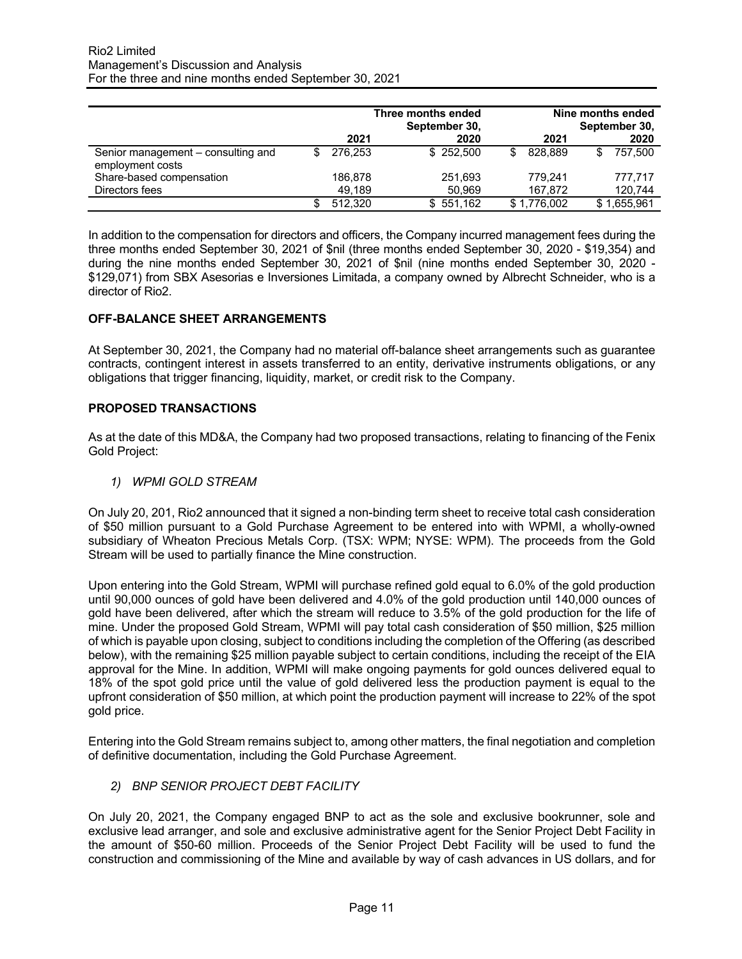|                                                        | 2021    | Three months ended<br>September 30,<br>2020 | 2021        | Nine months ended<br>September 30,<br>2020 |
|--------------------------------------------------------|---------|---------------------------------------------|-------------|--------------------------------------------|
| Senior management – consulting and<br>employment costs | 276.253 | \$252.500                                   | 828.889     | 757.500                                    |
| Share-based compensation                               | 186.878 | 251,693                                     | 779.241     | 777.717                                    |
| Directors fees                                         | 49.189  | 50.969                                      | 167.872     | 120,744                                    |
|                                                        | 512,320 | \$551,162                                   | \$1,776,002 | \$1,655,961                                |

In addition to the compensation for directors and officers, the Company incurred management fees during the three months ended September 30, 2021 of \$nil (three months ended September 30, 2020 - \$19,354) and during the nine months ended September 30, 2021 of \$nil (nine months ended September 30, 2020 - \$129,071) from SBX Asesorias e Inversiones Limitada, a company owned by Albrecht Schneider, who is a director of Rio2.

### **OFF-BALANCE SHEET ARRANGEMENTS**

At September 30, 2021, the Company had no material off-balance sheet arrangements such as guarantee contracts, contingent interest in assets transferred to an entity, derivative instruments obligations, or any obligations that trigger financing, liquidity, market, or credit risk to the Company.

### **PROPOSED TRANSACTIONS**

As at the date of this MD&A, the Company had two proposed transactions, relating to financing of the Fenix Gold Project:

*1) WPMI GOLD STREAM* 

On July 20, 201, Rio2 announced that it signed a non-binding term sheet to receive total cash consideration of \$50 million pursuant to a Gold Purchase Agreement to be entered into with WPMI, a wholly-owned subsidiary of Wheaton Precious Metals Corp. (TSX: WPM; NYSE: WPM). The proceeds from the Gold Stream will be used to partially finance the Mine construction.

Upon entering into the Gold Stream, WPMI will purchase refined gold equal to 6.0% of the gold production until 90,000 ounces of gold have been delivered and 4.0% of the gold production until 140,000 ounces of gold have been delivered, after which the stream will reduce to 3.5% of the gold production for the life of mine. Under the proposed Gold Stream, WPMI will pay total cash consideration of \$50 million, \$25 million of which is payable upon closing, subject to conditions including the completion of the Offering (as described below), with the remaining \$25 million payable subject to certain conditions, including the receipt of the EIA approval for the Mine. In addition, WPMI will make ongoing payments for gold ounces delivered equal to 18% of the spot gold price until the value of gold delivered less the production payment is equal to the upfront consideration of \$50 million, at which point the production payment will increase to 22% of the spot gold price.

Entering into the Gold Stream remains subject to, among other matters, the final negotiation and completion of definitive documentation, including the Gold Purchase Agreement.

*2) BNP SENIOR PROJECT DEBT FACILITY* 

On July 20, 2021, the Company engaged BNP to act as the sole and exclusive bookrunner, sole and exclusive lead arranger, and sole and exclusive administrative agent for the Senior Project Debt Facility in the amount of \$50-60 million. Proceeds of the Senior Project Debt Facility will be used to fund the construction and commissioning of the Mine and available by way of cash advances in US dollars, and for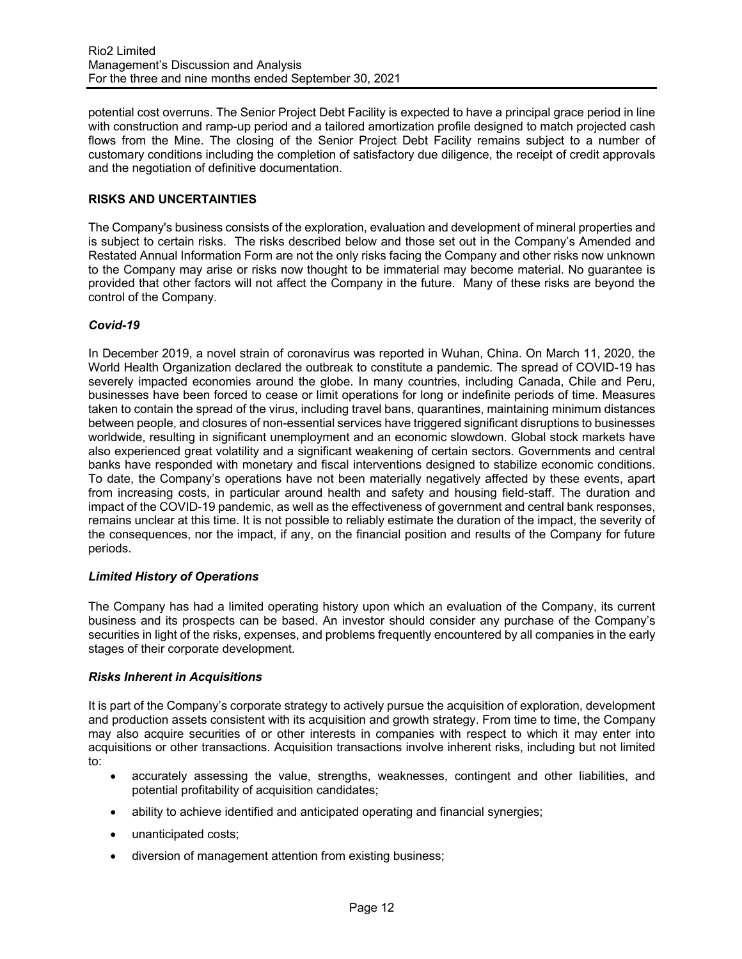potential cost overruns. The Senior Project Debt Facility is expected to have a principal grace period in line with construction and ramp-up period and a tailored amortization profile designed to match projected cash flows from the Mine. The closing of the Senior Project Debt Facility remains subject to a number of customary conditions including the completion of satisfactory due diligence, the receipt of credit approvals and the negotiation of definitive documentation.

## **RISKS AND UNCERTAINTIES**

The Company's business consists of the exploration, evaluation and development of mineral properties and is subject to certain risks. The risks described below and those set out in the Company's Amended and Restated Annual Information Form are not the only risks facing the Company and other risks now unknown to the Company may arise or risks now thought to be immaterial may become material. No guarantee is provided that other factors will not affect the Company in the future. Many of these risks are beyond the control of the Company.

#### *Covid-19*

In December 2019, a novel strain of coronavirus was reported in Wuhan, China. On March 11, 2020, the World Health Organization declared the outbreak to constitute a pandemic. The spread of COVID-19 has severely impacted economies around the globe. In many countries, including Canada, Chile and Peru, businesses have been forced to cease or limit operations for long or indefinite periods of time. Measures taken to contain the spread of the virus, including travel bans, quarantines, maintaining minimum distances between people, and closures of non-essential services have triggered significant disruptions to businesses worldwide, resulting in significant unemployment and an economic slowdown. Global stock markets have also experienced great volatility and a significant weakening of certain sectors. Governments and central banks have responded with monetary and fiscal interventions designed to stabilize economic conditions. To date, the Company's operations have not been materially negatively affected by these events, apart from increasing costs, in particular around health and safety and housing field-staff. The duration and impact of the COVID-19 pandemic, as well as the effectiveness of government and central bank responses, remains unclear at this time. It is not possible to reliably estimate the duration of the impact, the severity of the consequences, nor the impact, if any, on the financial position and results of the Company for future periods.

#### *Limited History of Operations*

The Company has had a limited operating history upon which an evaluation of the Company, its current business and its prospects can be based. An investor should consider any purchase of the Company's securities in light of the risks, expenses, and problems frequently encountered by all companies in the early stages of their corporate development.

#### *Risks Inherent in Acquisitions*

It is part of the Company's corporate strategy to actively pursue the acquisition of exploration, development and production assets consistent with its acquisition and growth strategy. From time to time, the Company may also acquire securities of or other interests in companies with respect to which it may enter into acquisitions or other transactions. Acquisition transactions involve inherent risks, including but not limited to:

- accurately assessing the value, strengths, weaknesses, contingent and other liabilities, and potential profitability of acquisition candidates;
- ability to achieve identified and anticipated operating and financial synergies;
- unanticipated costs;
- diversion of management attention from existing business;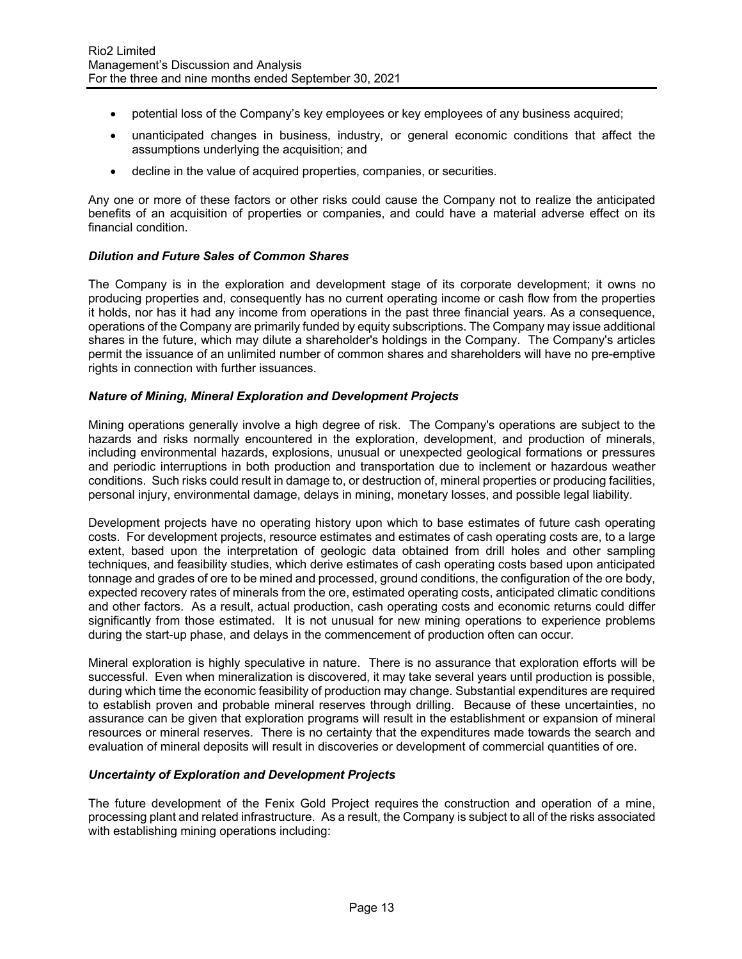- potential loss of the Company's key employees or key employees of any business acquired;
- unanticipated changes in business, industry, or general economic conditions that affect the assumptions underlying the acquisition; and
- decline in the value of acquired properties, companies, or securities.

Any one or more of these factors or other risks could cause the Company not to realize the anticipated benefits of an acquisition of properties or companies, and could have a material adverse effect on its financial condition.

### *Dilution and Future Sales of Common Shares*

The Company is in the exploration and development stage of its corporate development; it owns no producing properties and, consequently has no current operating income or cash flow from the properties it holds, nor has it had any income from operations in the past three financial years. As a consequence, operations of the Company are primarily funded by equity subscriptions. The Company may issue additional shares in the future, which may dilute a shareholder's holdings in the Company. The Company's articles permit the issuance of an unlimited number of common shares and shareholders will have no pre-emptive rights in connection with further issuances.

### *Nature of Mining, Mineral Exploration and Development Projects*

Mining operations generally involve a high degree of risk. The Company's operations are subject to the hazards and risks normally encountered in the exploration, development, and production of minerals, including environmental hazards, explosions, unusual or unexpected geological formations or pressures and periodic interruptions in both production and transportation due to inclement or hazardous weather conditions. Such risks could result in damage to, or destruction of, mineral properties or producing facilities, personal injury, environmental damage, delays in mining, monetary losses, and possible legal liability.

Development projects have no operating history upon which to base estimates of future cash operating costs. For development projects, resource estimates and estimates of cash operating costs are, to a large extent, based upon the interpretation of geologic data obtained from drill holes and other sampling techniques, and feasibility studies, which derive estimates of cash operating costs based upon anticipated tonnage and grades of ore to be mined and processed, ground conditions, the configuration of the ore body, expected recovery rates of minerals from the ore, estimated operating costs, anticipated climatic conditions and other factors. As a result, actual production, cash operating costs and economic returns could differ significantly from those estimated. It is not unusual for new mining operations to experience problems during the start-up phase, and delays in the commencement of production often can occur.

Mineral exploration is highly speculative in nature. There is no assurance that exploration efforts will be successful. Even when mineralization is discovered, it may take several years until production is possible, during which time the economic feasibility of production may change. Substantial expenditures are required to establish proven and probable mineral reserves through drilling. Because of these uncertainties, no assurance can be given that exploration programs will result in the establishment or expansion of mineral resources or mineral reserves. There is no certainty that the expenditures made towards the search and evaluation of mineral deposits will result in discoveries or development of commercial quantities of ore.

#### *Uncertainty of Exploration and Development Projects*

The future development of the Fenix Gold Project requires the construction and operation of a mine, processing plant and related infrastructure. As a result, the Company is subject to all of the risks associated with establishing mining operations including: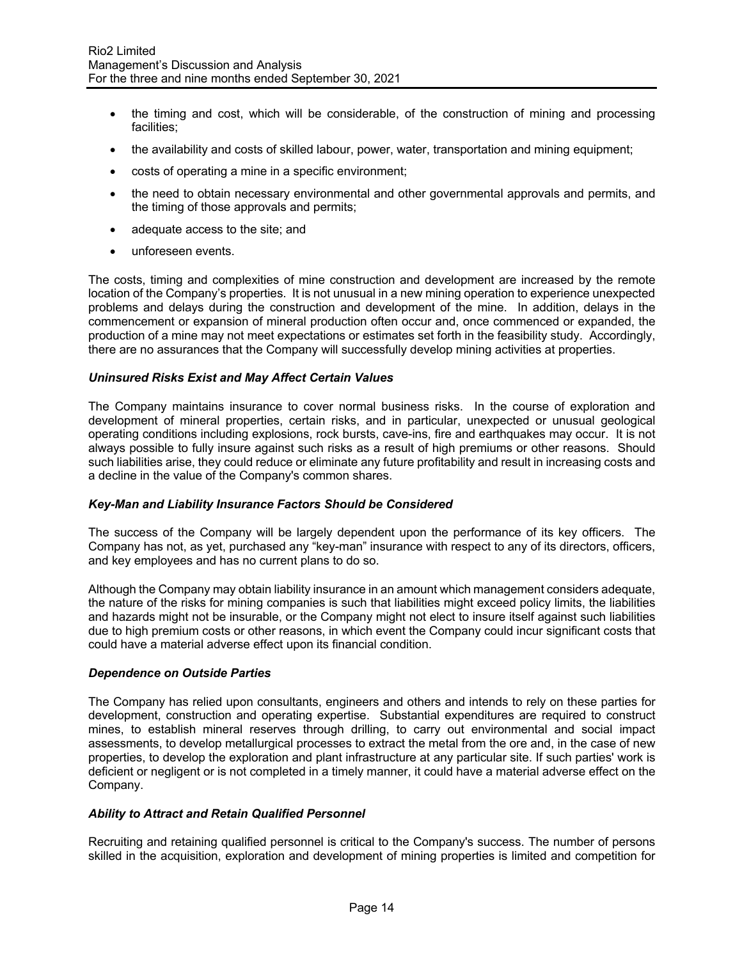- the timing and cost, which will be considerable, of the construction of mining and processing facilities;
- the availability and costs of skilled labour, power, water, transportation and mining equipment;
- costs of operating a mine in a specific environment;
- the need to obtain necessary environmental and other governmental approvals and permits, and the timing of those approvals and permits;
- adequate access to the site; and
- unforeseen events.

The costs, timing and complexities of mine construction and development are increased by the remote location of the Company's properties. It is not unusual in a new mining operation to experience unexpected problems and delays during the construction and development of the mine. In addition, delays in the commencement or expansion of mineral production often occur and, once commenced or expanded, the production of a mine may not meet expectations or estimates set forth in the feasibility study. Accordingly, there are no assurances that the Company will successfully develop mining activities at properties.

### *Uninsured Risks Exist and May Affect Certain Values*

The Company maintains insurance to cover normal business risks. In the course of exploration and development of mineral properties, certain risks, and in particular, unexpected or unusual geological operating conditions including explosions, rock bursts, cave-ins, fire and earthquakes may occur. It is not always possible to fully insure against such risks as a result of high premiums or other reasons. Should such liabilities arise, they could reduce or eliminate any future profitability and result in increasing costs and a decline in the value of the Company's common shares.

#### *Key-Man and Liability Insurance Factors Should be Considered*

The success of the Company will be largely dependent upon the performance of its key officers. The Company has not, as yet, purchased any "key-man" insurance with respect to any of its directors, officers, and key employees and has no current plans to do so.

Although the Company may obtain liability insurance in an amount which management considers adequate, the nature of the risks for mining companies is such that liabilities might exceed policy limits, the liabilities and hazards might not be insurable, or the Company might not elect to insure itself against such liabilities due to high premium costs or other reasons, in which event the Company could incur significant costs that could have a material adverse effect upon its financial condition.

#### *Dependence on Outside Parties*

The Company has relied upon consultants, engineers and others and intends to rely on these parties for development, construction and operating expertise. Substantial expenditures are required to construct mines, to establish mineral reserves through drilling, to carry out environmental and social impact assessments, to develop metallurgical processes to extract the metal from the ore and, in the case of new properties, to develop the exploration and plant infrastructure at any particular site. If such parties' work is deficient or negligent or is not completed in a timely manner, it could have a material adverse effect on the Company.

#### *Ability to Attract and Retain Qualified Personnel*

Recruiting and retaining qualified personnel is critical to the Company's success. The number of persons skilled in the acquisition, exploration and development of mining properties is limited and competition for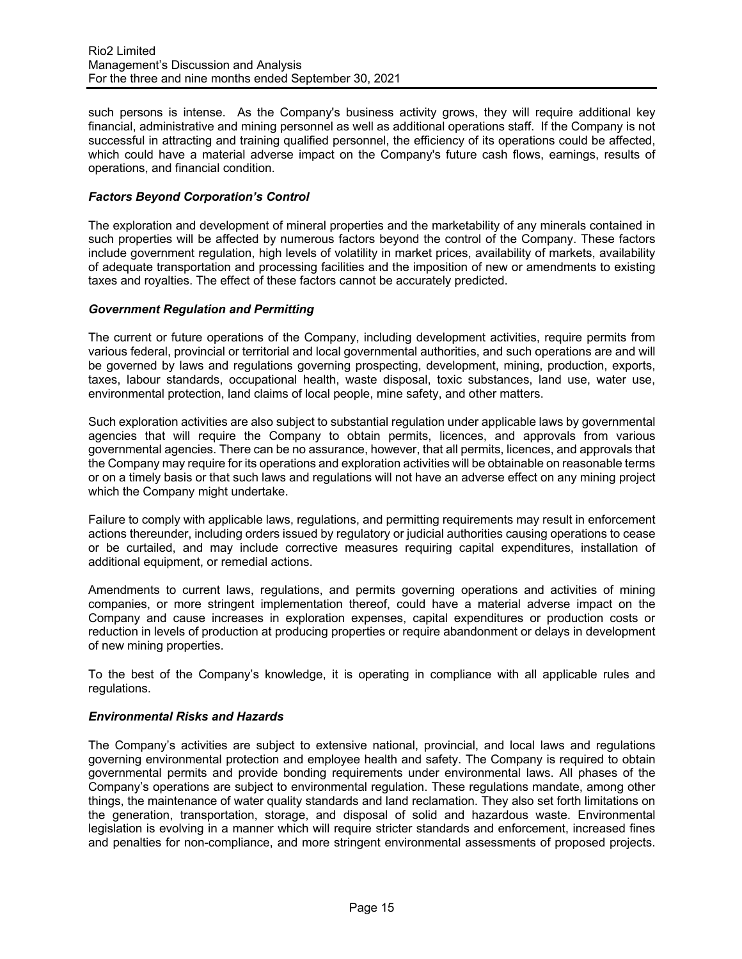such persons is intense. As the Company's business activity grows, they will require additional key financial, administrative and mining personnel as well as additional operations staff. If the Company is not successful in attracting and training qualified personnel, the efficiency of its operations could be affected, which could have a material adverse impact on the Company's future cash flows, earnings, results of operations, and financial condition.

### *Factors Beyond Corporation's Control*

The exploration and development of mineral properties and the marketability of any minerals contained in such properties will be affected by numerous factors beyond the control of the Company. These factors include government regulation, high levels of volatility in market prices, availability of markets, availability of adequate transportation and processing facilities and the imposition of new or amendments to existing taxes and royalties. The effect of these factors cannot be accurately predicted.

#### *Government Regulation and Permitting*

The current or future operations of the Company, including development activities, require permits from various federal, provincial or territorial and local governmental authorities, and such operations are and will be governed by laws and regulations governing prospecting, development, mining, production, exports, taxes, labour standards, occupational health, waste disposal, toxic substances, land use, water use, environmental protection, land claims of local people, mine safety, and other matters.

Such exploration activities are also subject to substantial regulation under applicable laws by governmental agencies that will require the Company to obtain permits, licences, and approvals from various governmental agencies. There can be no assurance, however, that all permits, licences, and approvals that the Company may require for its operations and exploration activities will be obtainable on reasonable terms or on a timely basis or that such laws and regulations will not have an adverse effect on any mining project which the Company might undertake.

Failure to comply with applicable laws, regulations, and permitting requirements may result in enforcement actions thereunder, including orders issued by regulatory or judicial authorities causing operations to cease or be curtailed, and may include corrective measures requiring capital expenditures, installation of additional equipment, or remedial actions.

Amendments to current laws, regulations, and permits governing operations and activities of mining companies, or more stringent implementation thereof, could have a material adverse impact on the Company and cause increases in exploration expenses, capital expenditures or production costs or reduction in levels of production at producing properties or require abandonment or delays in development of new mining properties.

To the best of the Company's knowledge, it is operating in compliance with all applicable rules and regulations.

#### *Environmental Risks and Hazards*

The Company's activities are subject to extensive national, provincial, and local laws and regulations governing environmental protection and employee health and safety. The Company is required to obtain governmental permits and provide bonding requirements under environmental laws. All phases of the Company's operations are subject to environmental regulation. These regulations mandate, among other things, the maintenance of water quality standards and land reclamation. They also set forth limitations on the generation, transportation, storage, and disposal of solid and hazardous waste. Environmental legislation is evolving in a manner which will require stricter standards and enforcement, increased fines and penalties for non-compliance, and more stringent environmental assessments of proposed projects.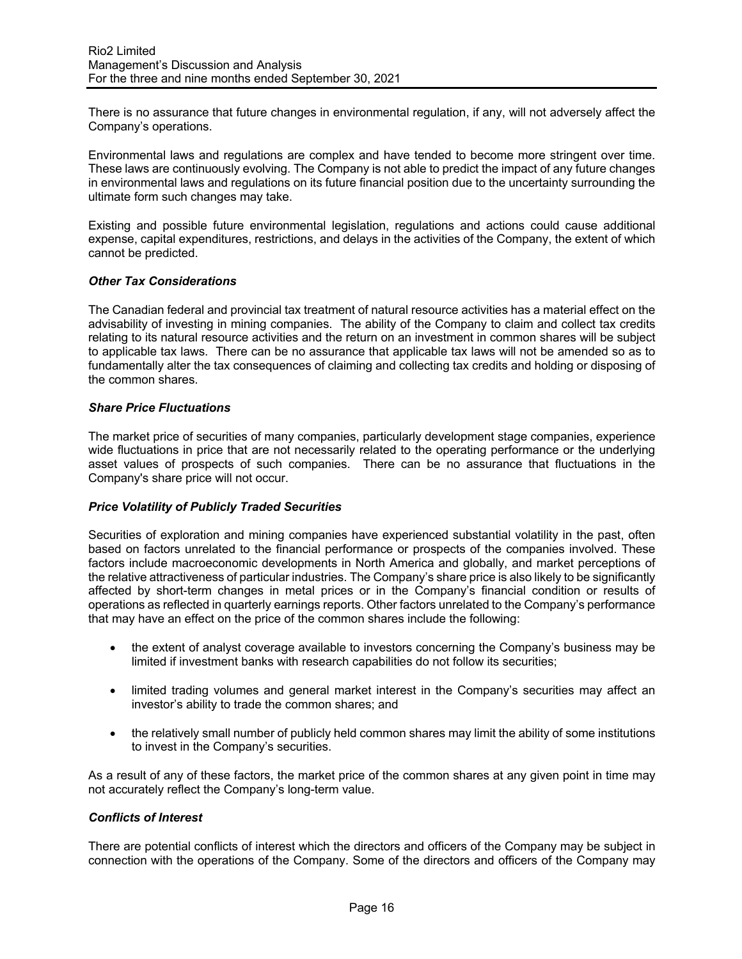There is no assurance that future changes in environmental regulation, if any, will not adversely affect the Company's operations.

Environmental laws and regulations are complex and have tended to become more stringent over time. These laws are continuously evolving. The Company is not able to predict the impact of any future changes in environmental laws and regulations on its future financial position due to the uncertainty surrounding the ultimate form such changes may take.

Existing and possible future environmental legislation, regulations and actions could cause additional expense, capital expenditures, restrictions, and delays in the activities of the Company, the extent of which cannot be predicted.

### *Other Tax Considerations*

The Canadian federal and provincial tax treatment of natural resource activities has a material effect on the advisability of investing in mining companies. The ability of the Company to claim and collect tax credits relating to its natural resource activities and the return on an investment in common shares will be subject to applicable tax laws. There can be no assurance that applicable tax laws will not be amended so as to fundamentally alter the tax consequences of claiming and collecting tax credits and holding or disposing of the common shares.

### *Share Price Fluctuations*

The market price of securities of many companies, particularly development stage companies, experience wide fluctuations in price that are not necessarily related to the operating performance or the underlying asset values of prospects of such companies. There can be no assurance that fluctuations in the Company's share price will not occur.

### *Price Volatility of Publicly Traded Securities*

Securities of exploration and mining companies have experienced substantial volatility in the past, often based on factors unrelated to the financial performance or prospects of the companies involved. These factors include macroeconomic developments in North America and globally, and market perceptions of the relative attractiveness of particular industries. The Company's share price is also likely to be significantly affected by short-term changes in metal prices or in the Company's financial condition or results of operations as reflected in quarterly earnings reports. Other factors unrelated to the Company's performance that may have an effect on the price of the common shares include the following:

- the extent of analyst coverage available to investors concerning the Company's business may be limited if investment banks with research capabilities do not follow its securities;
- limited trading volumes and general market interest in the Company's securities may affect an investor's ability to trade the common shares; and
- the relatively small number of publicly held common shares may limit the ability of some institutions to invest in the Company's securities.

As a result of any of these factors, the market price of the common shares at any given point in time may not accurately reflect the Company's long-term value.

### *Conflicts of Interest*

There are potential conflicts of interest which the directors and officers of the Company may be subject in connection with the operations of the Company. Some of the directors and officers of the Company may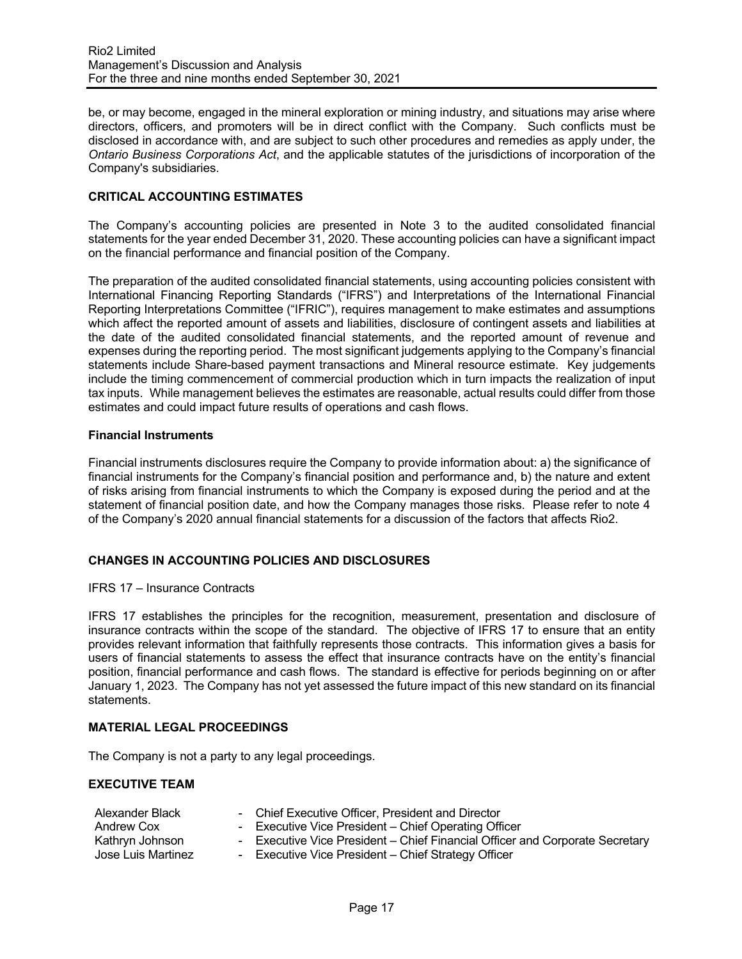be, or may become, engaged in the mineral exploration or mining industry, and situations may arise where directors, officers, and promoters will be in direct conflict with the Company. Such conflicts must be disclosed in accordance with, and are subject to such other procedures and remedies as apply under, the *Ontario Business Corporations Act*, and the applicable statutes of the jurisdictions of incorporation of the Company's subsidiaries.

## **CRITICAL ACCOUNTING ESTIMATES**

The Company's accounting policies are presented in Note 3 to the audited consolidated financial statements for the year ended December 31, 2020. These accounting policies can have a significant impact on the financial performance and financial position of the Company.

The preparation of the audited consolidated financial statements, using accounting policies consistent with International Financing Reporting Standards ("IFRS") and Interpretations of the International Financial Reporting Interpretations Committee ("IFRIC"), requires management to make estimates and assumptions which affect the reported amount of assets and liabilities, disclosure of contingent assets and liabilities at the date of the audited consolidated financial statements, and the reported amount of revenue and expenses during the reporting period. The most significant judgements applying to the Company's financial statements include Share-based payment transactions and Mineral resource estimate. Key judgements include the timing commencement of commercial production which in turn impacts the realization of input tax inputs. While management believes the estimates are reasonable, actual results could differ from those estimates and could impact future results of operations and cash flows.

#### **Financial Instruments**

Financial instruments disclosures require the Company to provide information about: a) the significance of financial instruments for the Company's financial position and performance and, b) the nature and extent of risks arising from financial instruments to which the Company is exposed during the period and at the statement of financial position date, and how the Company manages those risks. Please refer to note 4 of the Company's 2020 annual financial statements for a discussion of the factors that affects Rio2.

## **CHANGES IN ACCOUNTING POLICIES AND DISCLOSURES**

IFRS 17 – Insurance Contracts

IFRS 17 establishes the principles for the recognition, measurement, presentation and disclosure of insurance contracts within the scope of the standard. The objective of IFRS 17 to ensure that an entity provides relevant information that faithfully represents those contracts. This information gives a basis for users of financial statements to assess the effect that insurance contracts have on the entity's financial position, financial performance and cash flows. The standard is effective for periods beginning on or after January 1, 2023. The Company has not yet assessed the future impact of this new standard on its financial statements.

### **MATERIAL LEGAL PROCEEDINGS**

The Company is not a party to any legal proceedings.

#### **EXECUTIVE TEAM**

| Alexander Black    | - Chief Executive Officer, President and Director                            |
|--------------------|------------------------------------------------------------------------------|
| Andrew Cox         | - Executive Vice President - Chief Operating Officer                         |
| Kathryn Johnson    | - Executive Vice President – Chief Financial Officer and Corporate Secretary |
| Jose Luis Martinez | - Executive Vice President – Chief Strategy Officer                          |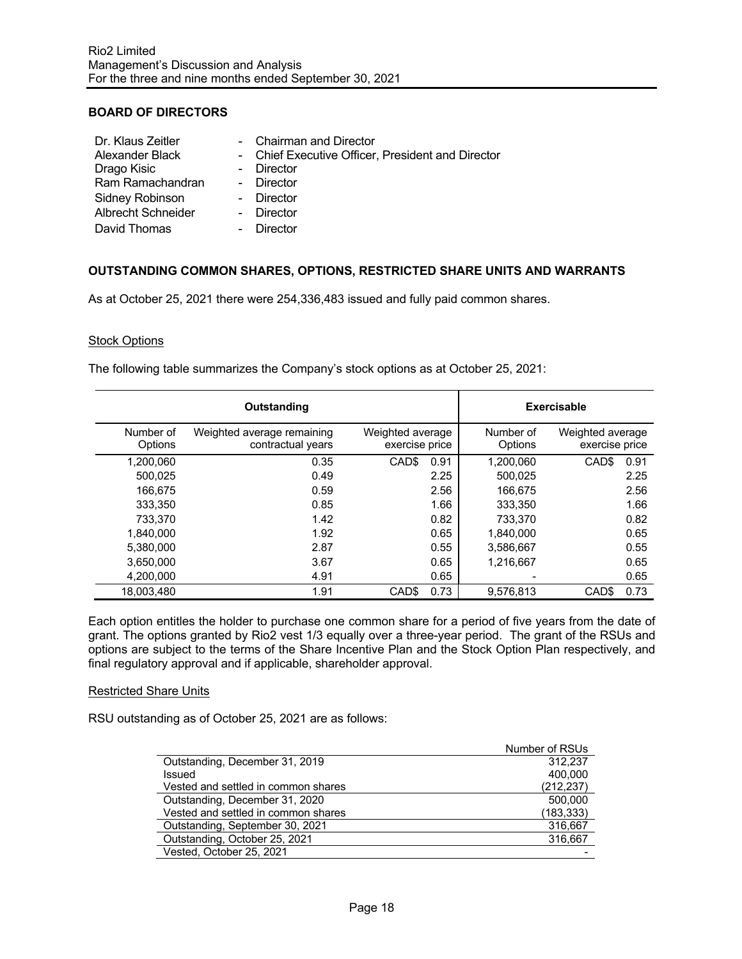### **BOARD OF DIRECTORS**

| Dr. Klaus Zeitler         | - Chairman and Director                           |
|---------------------------|---------------------------------------------------|
| Alexander Black           | - Chief Executive Officer, President and Director |
| Drago Kisic               | - Director                                        |
| Ram Ramachandran          | - Director                                        |
| Sidney Robinson           | - Director                                        |
| <b>Albrecht Schneider</b> | - Director                                        |
| David Thomas              | Director                                          |

## **OUTSTANDING COMMON SHARES, OPTIONS, RESTRICTED SHARE UNITS AND WARRANTS**

As at October 25, 2021 there were 254,336,483 issued and fully paid common shares.

#### Stock Options

The following table summarizes the Company's stock options as at October 25, 2021:

|                      | Outstanding                                     |                                    | Exercisable          |                                    |
|----------------------|-------------------------------------------------|------------------------------------|----------------------|------------------------------------|
| Number of<br>Options | Weighted average remaining<br>contractual years | Weighted average<br>exercise price | Number of<br>Options | Weighted average<br>exercise price |
| 1,200,060            | 0.35                                            | CAD <sub>\$</sub><br>0.91          | 1,200,060            | CAD <sub>\$</sub><br>0.91          |
| 500.025              | 0.49                                            | 2.25                               | 500.025              | 2.25                               |
| 166.675              | 0.59                                            | 2.56                               | 166.675              | 2.56                               |
| 333,350              | 0.85                                            | 1.66                               | 333,350              | 1.66                               |
| 733.370              | 1.42                                            | 0.82                               | 733.370              | 0.82                               |
| 1.840.000            | 1.92                                            | 0.65                               | 1,840,000            | 0.65                               |
| 5,380,000            | 2.87                                            | 0.55                               | 3,586,667            | 0.55                               |
| 3,650,000            | 3.67                                            | 0.65                               | 1,216,667            | 0.65                               |
| 4.200.000            | 4.91                                            | 0.65                               |                      | 0.65                               |
| 18.003.480           | 1.91                                            | 0.73<br>CAD <sub>\$</sub>          | 9.576.813            | 0.73<br>CAD <sub>S</sub>           |

Each option entitles the holder to purchase one common share for a period of five years from the date of grant. The options granted by Rio2 vest 1/3 equally over a three-year period. The grant of the RSUs and options are subject to the terms of the Share Incentive Plan and the Stock Option Plan respectively, and final regulatory approval and if applicable, shareholder approval.

#### Restricted Share Units

RSU outstanding as of October 25, 2021 are as follows:

|                                     | Number of RSUs |
|-------------------------------------|----------------|
| Outstanding, December 31, 2019      | 312.237        |
| Issued                              | 400.000        |
| Vested and settled in common shares | (212, 237)     |
| Outstanding, December 31, 2020      | 500,000        |
| Vested and settled in common shares | (183,333)      |
| Outstanding, September 30, 2021     | 316,667        |
| Outstanding, October 25, 2021       | 316.667        |
| Vested, October 25, 2021            |                |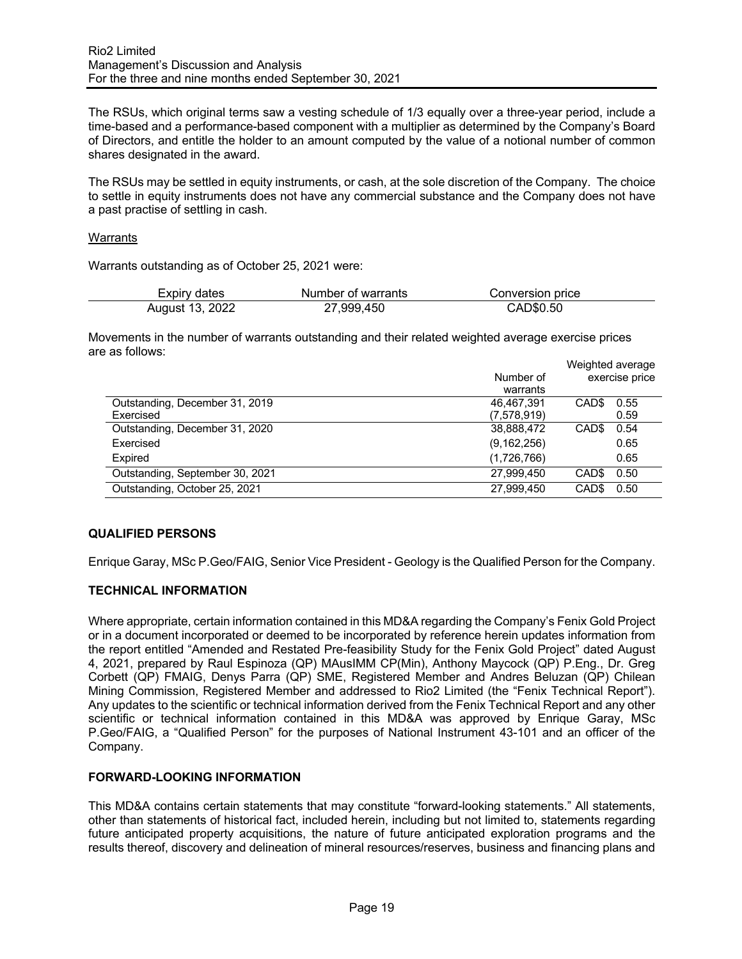The RSUs, which original terms saw a vesting schedule of 1/3 equally over a three-year period, include a time-based and a performance-based component with a multiplier as determined by the Company's Board of Directors, and entitle the holder to an amount computed by the value of a notional number of common shares designated in the award.

The RSUs may be settled in equity instruments, or cash, at the sole discretion of the Company. The choice to settle in equity instruments does not have any commercial substance and the Company does not have a past practise of settling in cash.

### Warrants

Warrants outstanding as of October 25, 2021 were:

| Expiry dates    | Number of warrants | Conversion price |  |
|-----------------|--------------------|------------------|--|
| August 13, 2022 | 27,999,450         | CAD\$0.50        |  |

Movements in the number of warrants outstanding and their related weighted average exercise prices are as follows: Weighted average

|                                 |               | Weighted average          |
|---------------------------------|---------------|---------------------------|
|                                 | Number of     | exercise price            |
|                                 | warrants      |                           |
| Outstanding, December 31, 2019  | 46.467.391    | CAD <sub>\$</sub><br>0.55 |
| Exercised                       | (7,578,919)   | 0.59                      |
| Outstanding, December 31, 2020  | 38,888,472    | CAD\$<br>0.54             |
| Exercised                       | (9, 162, 256) | 0.65                      |
| Expired                         | (1,726,766)   | 0.65                      |
| Outstanding, September 30, 2021 | 27,999,450    | 0.50<br>CAD <sub>\$</sub> |
| Outstanding, October 25, 2021   | 27,999,450    | 0.50<br>CAD <sub>\$</sub> |

## **QUALIFIED PERSONS**

Enrique Garay, MSc P.Geo/FAIG, Senior Vice President - Geology is the Qualified Person for the Company.

## **TECHNICAL INFORMATION**

Where appropriate, certain information contained in this MD&A regarding the Company's Fenix Gold Project or in a document incorporated or deemed to be incorporated by reference herein updates information from the report entitled "Amended and Restated Pre-feasibility Study for the Fenix Gold Project" dated August 4, 2021, prepared by Raul Espinoza (QP) MAusIMM CP(Min), Anthony Maycock (QP) P.Eng., Dr. Greg Corbett (QP) FMAIG, Denys Parra (QP) SME, Registered Member and Andres Beluzan (QP) Chilean Mining Commission, Registered Member and addressed to Rio2 Limited (the "Fenix Technical Report"). Any updates to the scientific or technical information derived from the Fenix Technical Report and any other scientific or technical information contained in this MD&A was approved by Enrique Garay, MSc P.Geo/FAIG, a "Qualified Person" for the purposes of National Instrument 43-101 and an officer of the Company.

#### **FORWARD-LOOKING INFORMATION**

This MD&A contains certain statements that may constitute "forward-looking statements." All statements, other than statements of historical fact, included herein, including but not limited to, statements regarding future anticipated property acquisitions, the nature of future anticipated exploration programs and the results thereof, discovery and delineation of mineral resources/reserves, business and financing plans and